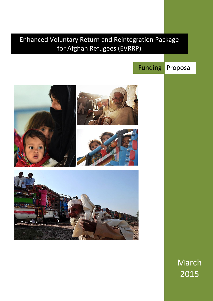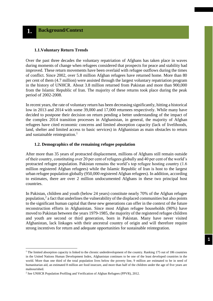#### **1.1.Voluntary Return Trends**

Over the past three decades the voluntary repatriation of Afghans has taken place in waves during moments of change when refugees considered that prospects for peace and stability had improved. These return movements have been overlaid with refugee outflows during the times of conflict. Since 2002, over 5.8 million Afghan refugees have returned home. More than 80 per cent of them (4.7 million) were assisted through the largest voluntary repatriation program in the history of UNHCR. About 3.8 million returned from Pakistan and more than 900,000 from the Islamic Republic of Iran. The majority of these returns took place during the peak period of 2002-2008.

In recent years, the rate of voluntary return has been decreasing significantly, hitting a historical low in 2013 and 2014 with some 39,000 and 17,000 returnees respectively. While many have decided to postpone their decision on return pending a better understanding of the impact of the complex 2014 transition processes in Afghanistan, in general, the majority of Afghan refugees have cited economic concerns and limited absorption capacity (lack of livelihoods, land, shelter and limited access to basic services) in Afghanistan as main obstacles to return and sustainable reintegration. 1

#### **1.2. Demographics of the remaining refugee population**

After more than 35 years of protracted displacement, millions of Afghans still remain outside of their country, constituting over 20 per cent of refugees globally and 40 per cent of the world's protracted refugee population. Pakistan remains the world's top refugee hosting country (1.6 million registered Afghan refugees) while the Islamic Republic of Iran is host to the largest urban refugee population globally (950,000 registered Afghan refugees). In addition, according to estimates, there are over 2 million undocumented Afghans in these two principal host countries.

In Pakistan, children and youth (below 24 years) constitute nearly 70% of the Afghan refugee population, $2$  a fact that underlines the vulnerability of the displaced communities but also points to the significant human capital that these new generations can offer in the context of the future reconstruction efforts in Afghanistan. Since most Afghan refugee households (90%) have moved to Pakistan between the years 1979-1985, the majority of the registered refugee children and youth are second or third generation, born in Pakistan. Many have never visited Afghanistan, lack linkages with their ancestral country of origin and will therefore require strong incentives for return and adequate opportunities for sustainable reintegration.

**.** 

<sup>&</sup>lt;sup>1</sup> The limited absorption capacity is linked to the chronic underdevelopment of the country. Ranking 175 out of 186 countries in the United Nations Human Development Index, Afghanistan continues to be one of the least developed countries in the world. More than one third of the total population lives below the poverty line, 9 million are estimated to be in need of humanitarian aid, an estimated 8 million are food insecure, and more than half of the children under the age of five years are malnourished.

<sup>2</sup> See UNHCR Population Profiling and Verification of Afghan Refugees (PPVR), 2012.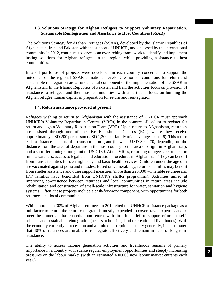## **1.3. Solutions Strategy for Afghan Refugees to Support Voluntary Repatriation, Sustainable Reintegration and Assistance to Host Countries (SSAR)**

The Solutions Strategy for Afghan Refugees (SSAR), developed by the Islamic Republics of Afghanistan, Iran and Pakistan with the support of UNHCR, and endorsed by the international community in 2012, continues to serve as an overarching framework to identify and implement lasting solutions for Afghan refugees in the region, while providing assistance to host communities.

In 2014 portfolios of projects were developed in each country concerned to support the outcomes of the regional SSAR at national levels. Creation of conditions for return and sustainable reintegration are a fundamental component of the implementation of the SSAR in Afghanistan. In the Islamic Republics of Pakistan and Iran, the activities focus on provision of assistance to refugees and their host communities, with a particular focus on building the Afghan refugee human capital in preparation for return and reintegration.

## **1.4. Return assistance provided at present**

Refugees wishing to return to Afghanistan with the assistance of UNHCR must approach UNHCR's Voluntary Repatriation Centres (VRCs) in the country of asylum to register for return and sign a Voluntary Repatriation Form (VRF). Upon return to Afghanistan, returnees are assisted through one of the five Encashment Centres (ECs) where they receive approximately USD 200 per person (USD 1,200 per family of an average size of 6). This return cash assistance consists of a transportation grant (between USD  $30 - 70$ , depending on the distance from the area of departure in the host country to the area of origin in Afghanistan), and a short-term integration grant of USD 150. At the VRCs, returning refugees are briefed on mine awareness, access to legal aid and education procedures in Afghanistan. They can benefit from transit facilities for overnight stay and basic health services. Children under the age of 5 are vaccinated against polio and measles. Based on vulnerability, returnee families may benefit from shelter assistance and other support measures (more than 220,000 vulnerable returnee and IDP families have benefitted from UNHCR's shelter programme). Activities aimed at improving co-existence between returnees and local communities in return areas include rehabilitation and construction of small-scale infrastructure for water, sanitation and hygiene systems. Often, these projects include a cash-for-work component, with opportunities for both returnees and local communities.

While more than 30% of Afghan returnees in 2014 cited the UNHCR assistance package as a pull factor to return, the return cash grant is mostly expended to cover travel expenses and to meet the immediate basic needs upon return, with little funds left to support efforts at selfreliance and sustainable reintegration (access to housing, land or creation of livelihoods). With the economy currently in recession and a limited absorption capacity generally, it is estimated that 40% of returnees are unable to reintegrate effectively and remain in need of long-term assistance.

The ability to access income generation activities and livelihoods remains of primary importance in a country with scarce regular employment opportunities and steeply increasing pressures on the labour market (with an estimated 400,000 new labour market entrants each year.)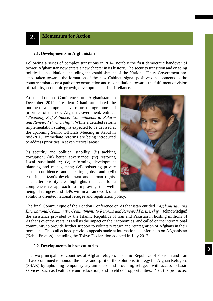# **2. Momentum for Action**

#### **2.1. Developments in Afghanistan**

Following a series of complex transitions in 2014, notably the first democratic handover of power, Afghanistan now enters a new chapter in its history. The security transition and ongoing political consolidation, including the establishment of the National Unity Government and steps taken towards the formation of the new Cabinet, signal positive developments as the country embarks on a path of reconstruction and reconciliation, towards the fulfilment of vision of stability, economic growth, development and self-reliance.

At the London Conference on Afghanistan in December 2014, President Ghani articulated the outline of a comprehensive reform programme and priorities of the new Afghan Government, entitled *"Realizing Self-Reliance: Commitments to Reform and Renewed Partnership"*. While a detailed reform implementation strategy is expected to be devised at the upcoming Senior Officials Meeting in Kabul in mid-2015, immediate reforms are being introduced to address priorities in seven critical areas:

(i) security and political stability; (ii) tackling corruption; (iii) better governance; (iv) restoring fiscal sustainability; (v) reforming development planning and management; (vi) bolstering private sector confidence and creating jobs; and (vii) ensuring citizen's development and human rights. The latter priority area highlights the need for a comprehensive approach to improving the wellbeing of refugees and IDPs within a framework of a



solutions oriented national refugee and repatriation policy.

The final Communique of the London Conference on Afghanistan entitled *"Afghanistan and International Community: Commitments to Reforms and Renewed Partnership"* acknowledged the assistance provided by the Islamic Republics of Iran and Pakistan in hosting millions of Afghans over the years, as well as the impact on their economies, and called on the international community to provide further support to voluntary return and reintegration of Afghans in their homeland. This call echoed previous appeals made at international conferences on Afghanistan (Kabul Process), including the Tokyo Declaration adopted in July 2012.

#### **2.2. Developments in host countries**

The two principal host countries of Afghan refugees – Islamic Republics of Pakistan and Iran – have continued to honour the letter and spirit of the Solutions Strategy for Afghan Refugees (SSAR) by upholding temporary asylum space and providing refugees with access to basic services, such as healthcare and education, and livelihood opportunities. Yet, the protracted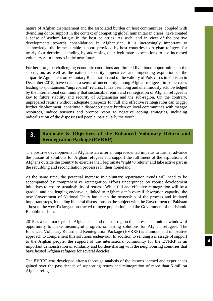nature of Afghan displacement and the associated burden on host communities, coupled with dwindling donor support in the context of competing global humanitarian crises, have created a sense of asylum fatigue in the host countries. As such, and in view of the positive developments towards consolidation in Afghanistan, it is increasingly important to acknowledge the immeasurable support provided by host countries to Afghan refugees for nearly four decades, including by addressing their legitimate expectations to see increased voluntary return trends in the near future.

Furthermore, the challenging economic conditions and limited livelihood opportunities in the sub-region, as well as the national security imperatives and impending expiration of the Tripartite Agreement on Voluntary Repatriation and of the validity of PoR cards in Pakistan in December 2015, have created a sense of uncertainty among Afghan refugees, in some cases leading to spontaneous "unprepared" returns. It has been long and unanimously acknowledged by the international community that sustainable return and reintegration of Afghan refugees is key to future stability and security of Afghanistan and the sub-region. On the contrary, unprepared returns without adequate prospects for full and effective reintegration can trigger further displacement, constitute a disproportionate burden on local communities with meagre resources, induce tensions and prompt resort to negative coping strategies, including radicalization of the dispossessed people, particularly the youth.

#### **Rationale & Objectives of the Enhanced Voluntary Return and Reintegration Package (EVRRP) 3.**

The positive developments in Afghanistan offer an unprecedented impetus to further advance the pursuit of solutions for Afghan refugees and support the fulfilment of the aspirations of Afghans outside the country to exercise their legitimate "right to return" and take active part in the rebuilding and reconciliation processes in their homeland.

At the same time, the potential increase in voluntary repatriation trends will need to be accompanied by comprehensive reintegration efforts underpinned by robust development initiatives to ensure sustainability of returns. While full and effective reintegration will be a gradual and challenging endeavour, linked to Afghanistan's overall absorption capacity, the new Government of National Unity has taken the ownership of the process and initiated important steps, including bilateral discussions on the subject with the Government of Pakistan – host to the world's largest protracted refugee population, and the Government of the Islamic Republic of Iran.

2015 as a landmark year in Afghanistan and the sub-region thus presents a unique window of opportunity to make meaningful progress on lasting solutions for Afghan refugees. The Enhanced Voluntary Return and Reintegration Package (EVRRP) is a unique and innovative approach to complement this solutions endeavour. In addition to sending a message of support to the Afghan people, the support of the international community for the EVRRP is an important demonstration of solidarity and burden-sharing with the neighbouring countries that have hosted Afghan refugees for several decades.

The EVRRP was developed after a thorough analysis of the lessons learned and experiences gained over the past decade of supporting return and reintegration of more than 5 million Afghan refugees.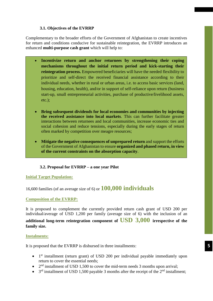## **3.1. Objectives of the EVRRP**

Complementary to the broader efforts of the Government of Afghanistan to create incentives for return and conditions conducive for sustainable reintegration, the EVRRP introduces an enhanced **multi-purpose cash grant** which will help to:

- **Incentivize return and anchor returnees by strengthening their coping mechanisms throughout the initial return period and kick-starting their reintegration process.** Empowered beneficiaries will have the needed flexibility to prioritize and self-direct the received financial assistance according to their individual needs, whether in rural or urban areas, i.e. to access basic services (land, housing, education, health), and/or in support of self-reliance upon return (business start-up, small entrepreneurial activities, purchase of productive/livelihood assets, etc.);
- **Bring subsequent dividends for local economies and communities by injecting the received assistance into local markets**. This can further facilitate greater interactions between returnees and local communities, increase economic ties and social cohesion and reduce tensions, especially during the early stages of return often marked by competition over meagre resources;
- **Mitigate the negative consequences of unprepared return** and support the efforts of the Government of Afghanistan to ensure **organized and phased return, in view of the current constraints on the absorption capacity**.

## **3.2. Proposal for EVRRP – a one year Pilot**

## **Initial Target Population:**

16,600 families (of an average size of 6) or **100,000 individuals**

## **Composition of the EVRRP:**

It is proposed to complement the currently provided return cash grant of USD 200 per individual/average of USD 1,200 per family (average size of 6) with the inclusion of an

**additional long-term reintegration component of USD 3,000 irrespective of the family size.**

## **Instalments:**

It is proposed that the EVRRP is disbursed in three installments:

- 1<sup>st</sup> installment (return grant) of USD 200 per individual payable immediately upon return to cover the essential needs;
- $\bullet$  2<sup>nd</sup> installment of USD 1,500 to cover the mid-term needs 3 months upon arrival;
- $\bullet$  3<sup>rd</sup> installment of USD 1,500 payable 3 months after the receipt of the 2<sup>nd</sup> installment;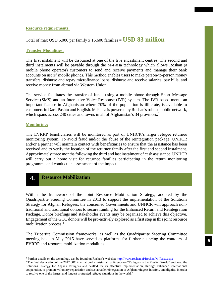## **Resource requirements:**

## Total of max USD 5,000 per family x 16,600 families  $=$  **USD 83 million**

## **Transfer Modalities:**

The first instalment will be disbursed at one of the five encashment centres. The second and third instalments will be payable through the M-Paisa technology which allows Roshan (a mobile phone operator) customers to send and receive payments and manage their bank accounts on users' mobile phones. This method enables users to make person-to-person money transfers, disburse and repay microfinance loans, disburse and receive salaries, pay bills, and receive money from abroad via Western Union.

The service facilitates the transfer of funds using a mobile phone through Short Message Service (SMS) and an Interactive Voice Response (IVR) system. The IVR based menu, an important feature in Afghanistan where 70% of the population is illiterate, is available to customers in Dari, Pashto and English. M-Paisa is powered by Roshan's robust mobile network, which spans across 240 cities and towns in all of Afghanistan's 34 provinces.<sup>3</sup>

#### **Monitoring:**

1

The EVRRP beneficiaries will be monitored as part of UNHCR's larger refugee returnee monitoring system. To avoid fraud and/or the abuse of the reintegration package, UNHCR and/or a partner will maintain contact with beneficiaries to ensure that the assistance has been received and to verify the location of the returnee family after the first and second instalment. Approximately three months following the third and last instalment of cash assistance, UNHCR will carry out a home visit for returnee families participating in the return monitoring programme and conduct an assessment of the impact.

# **4 Resource Mobilization .**

Within the framework of the Joint Resource Mobilization Strategy, adopted by the Quadripartite Steering Committee in 2013 to support the implementation of the Solutions Strategy for Afghan Refugees, the concerned Governments and UNHCR will approach nontraditional and traditional donors to secure funding for the Enhanced Return and Reintegration Package. Donor briefings and stakeholder events may be organized to achieve this objective. Engagement of the GCC donors will be pro-actively explored as a first step in this joint resource mobilization process.<sup>4</sup>

The Tripartite Commission frameworks, as well as the Quadripartite Steering Committee meeting held in May 2015 have served as platforms for further nuancing the contours of EVRRP and resource mobilization modalities.

<sup>3</sup> Further details on the technology can be found on Roshan's website[: http://www.roshan.af/Roshan/M-Paisa.aspx](http://www.roshan.af/Roshan/M-Paisa.aspx)

<sup>&</sup>lt;sup>4</sup> The final declaration of the 2012 OIC international ministerial conference on "Refugees in the Muslim World" endorsed the Solutions Strategy for Afghan Refugees and "called for its effective implementation, through enhanced international cooperation, to promote voluntary repatriation and sustainable reintegration of Afghan refugees in safety and dignity, in order to resolve one of the largest and longest protracted refugee situations in the world."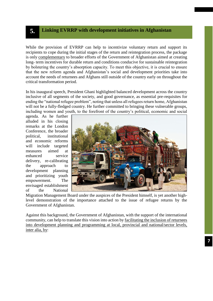## **5. Linking EVRRP with development initiatives in Afghanistan**

While the provision of EVRRP can help to incentivize voluntary return and support its recipients to cope during the initial stages of the return and reintegration process, the package is only complementary to broader efforts of the Government of Afghanistan aimed at creating long- term incentives for durable return and conditions conducive for sustainable reintegration by bolstering the country's absorption capacity. To meet this objective, it is crucial to ensure that the new reform agenda and Afghanistan's social and development priorities take into account the needs of returnees and Afghans still outside of the country early on throughout the critical transformation period.

In his inaugural speech, President Ghani highlighted balanced development across the country inclusive of all segments of the society, and good governance, as essential pre-requisites for ending the "national refugee problem", noting that unless all refugees return home, Afghanistan will not be a fully-fledged country. He further committed to bringing these vulnerable groups, including women and youth, to the forefront of the country's political, economic and social

agenda. As he further alluded in his closing remarks at the London Conference, the broader political, institutional and economic reforms will include targeted measures aimed at enhanced service delivery, re-calibrating the approach to development planning and prioritizing youth empowerment. The envisaged establishment of the National



Migration Management Board under the auspices of the President himself, is yet another highlevel demonstration of the importance attached to the issue of refugee returns by the Government of Afghanistan.

Against this background, the Government of Afghanistan, with the support of the international community, can help to translate this vision into action by facilitating the inclusion of returnees into development planning and programming at local, provincial and national/sector levels, inter alia, by: